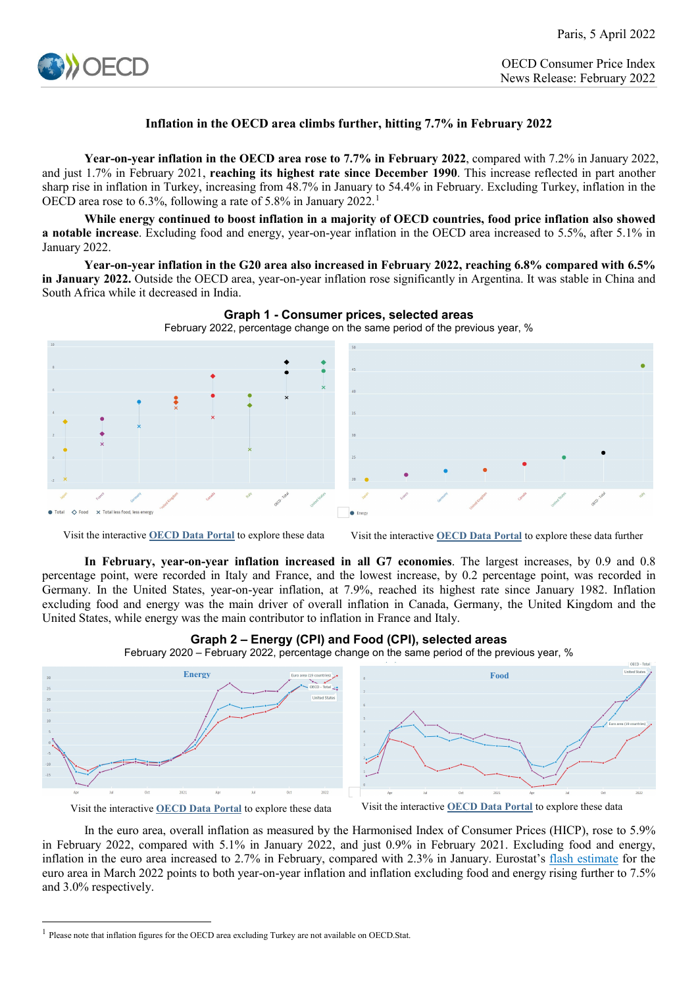

# **Inflation in the OECD area climbs further, hitting 7.7% in February 2022**

**Year-on-year inflation in the OECD area rose to 7.7% in February 2022**, compared with 7.2% in January 2022, and just 1.7% in February 2021, **reaching its highest rate since December 1990**. This increase reflected in part another sharp rise in inflation in Turkey, increasing from 48.7% in January to 54.4% in February. Excluding Turkey, inflation in the OECD area rose to 6.3%, following a rate of 5.8% in January 2022.<sup>[1](#page-0-0)</sup>

**While energy continued to boost inflation in a majority of OECD countries, food price inflation also showed a notable increase**. Excluding food and energy, year-on-year inflation in the OECD area increased to 5.5%, after 5.1% in January 2022.

**Year-on-year inflation in the G20 area also increased in February 2022, reaching 6.8% compared with 6.5% in January 2022.** Outside the OECD area, year-on-year inflation rose significantly in Argentina. It was stable in China and South Africa while it decreased in India.





Visit the interactive **[OECD Data Portal](https://data.oecd.org/chart/6Ffy)** to explore these data Visit the interactive **[OECD Data Portal](https://data.oecd.org/chart/6FfX)** to explore these data further

**In February, year-on-year inflation increased in all G7 economies**. The largest increases, by 0.9 and 0.8 percentage point, were recorded in Italy and France, and the lowest increase, by 0.2 percentage point, was recorded in Germany. In the United States, year-on-year inflation, at 7.9%, reached its highest rate since January 1982. Inflation excluding food and energy was the main driver of overall inflation in Canada, Germany, the United Kingdom and the United States, while energy was the main contributor to inflation in France and Italy.



**Graph 2 – Energy (CPI) and Food (CPI), selected areas**

February 2020 – February 2022, percentage change on the same period of the previous year, %

-

Visit the interactive **[OECD Data Portal](https://data.oecd.org/chart/6Fo9)** to explore these data Visit the interactive **[OECD Data Portal](https://data.oecd.org/chart/6FfB)** to explore these data

In the euro area, overall inflation as measured by the Harmonised Index of Consumer Prices (HICP), rose to 5.9% in February 2022, compared with 5.1% in January 2022, and just 0.9% in February 2021. Excluding food and energy, inflation in the euro area increased to 2.7% in February, compared with 2.3% in January. Eurostat's [flash estimate](https://ec.europa.eu/eurostat/documents/2995521/14442438/2-01042022-AP-EN.pdf/ba153bc6-c1aa-f6e5-785b-21c83f5319e5) for the euro area in March 2022 points to both year-on-year inflation and inflation excluding food and energy rising further to 7.5% and 3.0% respectively.

<span id="page-0-0"></span><sup>1</sup> Please note that inflation figures for the OECD area excluding Turkey are not available on OECD.Stat.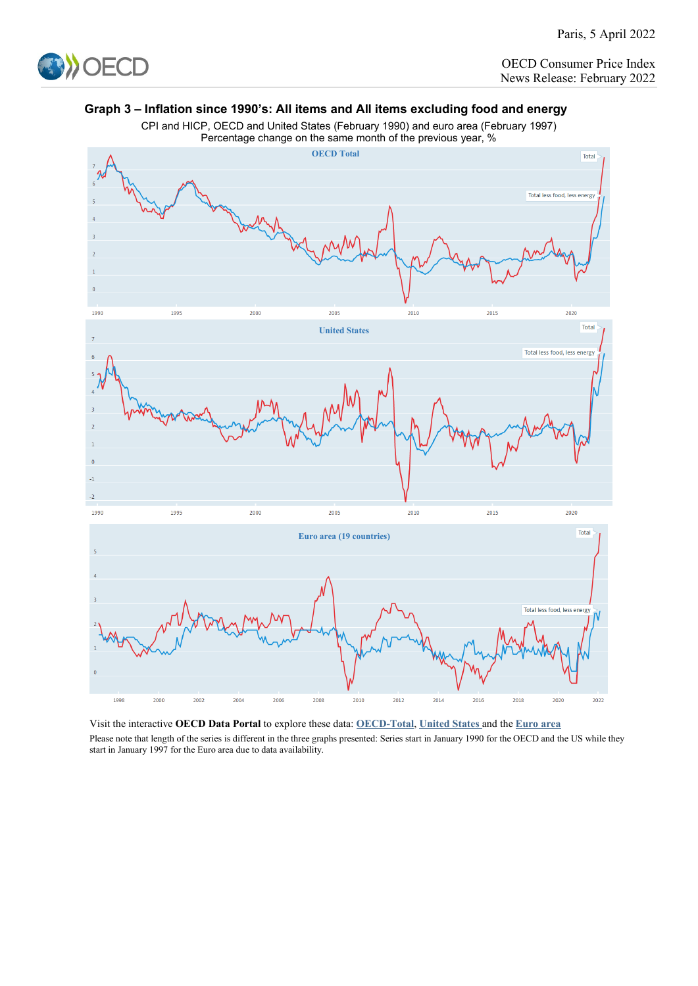

OECD Consumer Price Index News Release: February 2022

# **Graph 3 – Inflation since 1990's: All items and All items excluding food and energy**



CPI and HICP, OECD and United States (February 1990) and euro area (February 1997)

Visit the interactive **OECD Data Portal** to explore these data: **[OECD-Total](https://data.oecd.org/chart/6FfC)**, **[United States](https://data.oecd.org/chart/6Fpp)** and the **[Euro area](https://data.oecd.org/chart/6Fpm)** Please note that length of the series is different in the three graphs presented: Series start in January 1990 for the OECD and the US while they start in January 1997 for the Euro area due to data availability.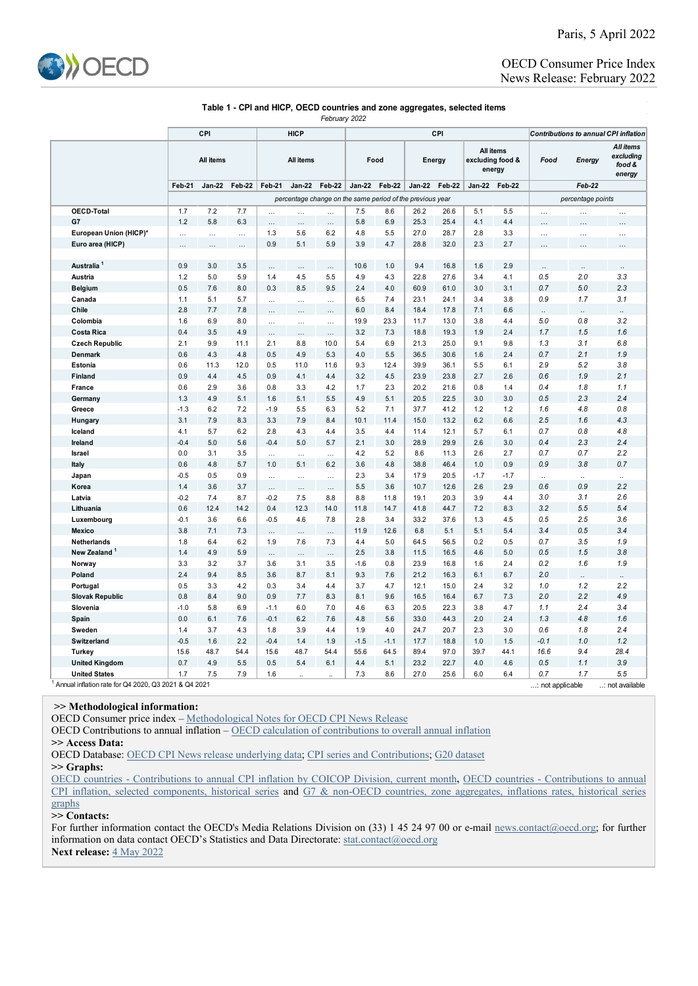

## OECD Consumer Price Index News Release: February 2022

#### **Table 1 - CPI and HICP, OECD countries and zone aggregates, selected items** *February 2022*

**CPI HICP All items All items Feb-21 Jan-22 Feb-22 Feb-21 Jan-22 Feb-22 Jan-22 Feb-22 Jan-22 Feb-22 Jan-22 Feb-22 OECD-Total** 1.7 7.2 7.7 … … … 7.5 8.6 26.2 26.6 5.1 5.5 … … … **G7** 1.2 5.8 6.3 … … … 5.8 6.9 25.3 25.4 4.1 4.4 … … … … **European Union (HICP)\*** | … … … | 1.3 5.6 6.2 | 4.8 5.5 | 27.0 28.7 | 2.8 3.3 | … … … …<br>**Euro area (HICP)** … … … | 0.9 5.1 | 5.9 | 3.9 | 4.7 | 28.8 | 32.0 | 2.3 | 2.7 | … | … | … **Euro area (HICP)** … … … 0.9 5.1 5.9 3.9 4.7 28.8 32.0 2.3 2.7 … … … **Australia 1** 0.9 3.0 3.5 … … 10.6 1.0 9.4 16.8 1.6 2.9 … … … **Austria** 1.2 5.0 5.9 1.4 4.5 5.5 4.9 4.3 22.8 27.6 3.4 4.1 *0.5 2.0 3.3* **Belgium** 0.5 7.6 8.0 0.3 8.5 9.5 2.4 4.0 60.9 61.0 3.0 3.1 *0.7 5.0 2.3* **Canada** 1.1 5.1 5.7 … … … 6.5 7.4 23.1 24.1 3.4 3.8 *0.9 1.7 3.1* **Chile** 2.8 7.7 7.8 … … … 6.0 8.4 18.4 17.8 7.1 6.6 *.. .. ..* **Colombia** 1.6 6.9 8.0 … … … 19.9 23.3 11.7 13.0 3.8 4.4 *5.0 0.8 3.2* **Costa Rica** 0.4 3.5 4.9 … … … 3.2 7.3 18.8 19.3 1.9 2.4 *1.7 1.5 1.6* **Czech Republic** 2.1 9.9 11.1 2.1 8.8 10.0 5.4 6.9 21.3 25.0 9.1 9.8 *1.3 3.1 6.8* **Denmark** 0.6 4.3 4.8 0.5 4.9 5.3 4.0 5.5 36.5 30.6 1.6 2.4 *0.7 2.1 1.9* **Estonia** 0.6 11.3 12.0 0.5 11.0 11.6 9.3 12.4 39.9 36.1 5.5 6.1 *2.9 5.2 3.8* **Finland** 0.9 4.4 4.5 0.9 4.1 4.4 3.2 4.5 23.9 23.8 2.7 2.6 *0.6 1.9 2.1* **France** 0.6 2.9 3.6 0.8 3.3 4.2 1.7 2.3 20.2 21.6 0.8 1.4 *0.4 1.8 1.1* **Germany** 1.3 4.9 5.1 1.6 5.1 5.5 4.9 5.1 20.5 22.5 3.0 3.0 *0.5 2.3 2.4* **Greece** -1.3 6.2 7.2 -1.9 5.5 6.3 5.2 7.1 37.7 41.2 1.2 1.2 *1.6 4.8 0.8* **Hungary** 3.1 7.9 8.3 3.3 7.9 8.4 10.1 11.4 15.0 13.2 6.2 6.6 *2.5 1.6 4.3* **Iceland** 4.1 5.7 6.2 2.8 4.3 4.4 3.5 4.4 11.4 12.1 5.7 6.1 *0.7 0.8 4.8* **Ireland** -0.4 5.0 5.6 -0.4 5.0 5.7 2.1 3.0 28.9 29.9 2.6 3.0 *0.4 2.3 2.4* **Israel** 0.0 3.1 3.5 … … … 4.2 5.2 8.6 11.3 2.6 2.7 *0.7 0.7 2.2* **Italy** 0.6 4.8 5.7 1.0 5.1 6.2 3.6 4.8 38.8 46.4 1.0 0.9 *0.9 3.8 0.7* **Japan** -0.5 0.5 0.9 … … … 2.3 3.4 17.9 20.5 -1.7 -1.7 *.. .. ..* **Korea** 1.4 3.6 3.7 … … … 5.5 3.6 10.7 12.6 2.6 2.9 *0.6 0.9 2.2* **Latvia** -0.2 7.4 8.7 -0.2 7.5 8.8 8.8 11.8 19.1 20.3 3.9 4.4 *3.0 3.1 2.6* **Lithuania** 0.6 12.4 14.2 0.4 12.3 14.0 11.8 14.7 41.8 44.7 7.2 8.3 *3.2 5.5 5.4* **Luxembourg** -0.1 3.6 6.6 -0.5 4.6 7.8 2.8 3.4 33.2 37.6 1.3 4.5 *0.5 2.5 3.6* **Mexico** 3.8 7.1 7.3 … … … 11.9 12.6 6.8 5.1 5.1 5.4 *3.4 0.5 3.4* **Netherlands** 1.8 6.4 6.2 1.9 7.6 7.3 4.4 5.0 64.5 56.5 0.2 0.5 *0.7 3.5 1.9* **New Zealand 1** 1.4 4.9 5.9 … … … 2.5 3.8 11.5 16.5 4.6 5.0 *0.5 1.5 3.8* **Norway** 3.3 3.2 3.7 3.6 3.1 3.5 -1.6 0.8 23.9 16.8 1.6 2.4 *0.2 1.6 1.9* **Poland** 2.4 9.4 8.5 3.6 8.7 8.1 9.3 7.6 21.2 16.3 6.1 6.7 *2.0 .. ..* **Portugal** 0.5 3.3 4.2 0.3 3.4 4.4 3.7 4.7 12.1 15.0 2.4 3.2 *1.0 1.2 2.2* **Slovak Republic** 0.8 8.4 9.0 0.9 7.7 8.3 8.1 9.6 16.5 16.4 6.7 7.3 *2.0 2.2 4.9* **Slovenia** -1.0 5.8 6.9 -1.1 6.0 7.0 4.6 6.3 20.5 22.3 3.8 4.7 *1.1 2.4 3.4* **Spain** 0.0 6.1 7.6 -0.1 6.2 7.6 4.8 5.6 33.0 44.3 2.0 2.4 *1.3 4.8 1.6* **Sweden** 1.4 3.7 4.3 1.8 3.9 4.4 1.9 4.0 24.7 20.7 2.3 3.0 *0.6 1.8 2.4* **Switzerland** -0.5 1.6 2.2 -0.4 1.4 1.9 -1.5 -1.1 17.7 18.8 1.0 1.5 *-0.1 1.0 1.2* **Turkey** 15.6 48.7 54.4 15.6 48.7 54.4 55.6 64.5 89.4 97.0 39.7 44.1 *16.6 9.4 28.4* **United Kingdom** 0.7 4.9 5.5 0.5 5.4 6.1 4.4 5.1 23.2 22.7 4.0 4.6 *0.5 1.1 3.9* **United States** 1.7 7.5 7.9 1.6 .. .. 7.3 8.6 27.0 25.6 6.0 6.4 *0.7 1.7 5.5* **Food Energy** *Food* **excluding food & All items energy** *Contributions to annual CPI inflation All items excluding food & energy Feb-22 percentage change on the same period of the previous year percentage points Energy* **CPI**

1 Annual inflation rate for Q4 2020, Q3 2021 & Q4 2021 ...: not available ...: not available ...: not available

### **>> Methodological information:**

OECD Consumer price index [– Methodological Notes for OECD CPI News Release](http://www.oecd.org/sdd/prices-ppp/47010757.pdf)

OECD Contributions to annual inflation [– OECD calculation of contributions to overall annual inflation](http://www.oecd.org/sdd/prices-ppp/OECD-calculation-contributions-annual-inflation.pdf)

**>> Access Data:**

OECD Database: [OECD CPI News release underlying data;](http://stats.oecd.org/Index.aspx?QueryId=82174) [CPI series and Contributions;](http://stats.oecd.org/Index.aspx?DataSetCode=PRICES_CPI) [G20 dataset](http://stats.oecd.org/Index.aspx?DataSetCode=G20_PRICES)

**>> Graphs:**

[OECD countries - Contributions to annual CPI inflation by COICOP Division, current month](http://www.oecd.org/sdd/prices-ppp/OECD-CPI-Contributions-to-inflation-by-COICOP-current-month.xlsx)**,** [OECD countries - Contributions to annual](http://www.oecd.org/sdd/prices-ppp/OECD-CPI-Contributions-to-inflation-selected-components-historical-series.xlsx)  [CPI inflation, selected components, historical series](http://www.oecd.org/sdd/prices-ppp/OECD-CPI-Contributions-to-inflation-selected-components-historical-series.xlsx) and [G7 & non-OECD countries, zone aggregates, inflations rates, historical series](https://www.oecd.org/sdd/prices-ppp/OECD-CPI-G7-non-OECD-countries-zones-aggregates-inflation-rates-historical-series.xlsx)  [graphs](https://www.oecd.org/sdd/prices-ppp/OECD-CPI-G7-non-OECD-countries-zones-aggregates-inflation-rates-historical-series.xlsx)

**>> Contacts:**

For further information contact the OECD's Media Relations Division on (33) 1 45 24 97 00 or e-mail [news.contact@oecd.org;](mailto:news.contact@oecd.org) for further information on data contact OECD's Statistics and Data Directorate: [stat.contact@oecd.org](mailto:stat.contact@oecd.org) **Next release:** [4 May 2022](http://www.oecd.org/sdd/prices-ppp/oecdconsumerprices-timetable.htm)